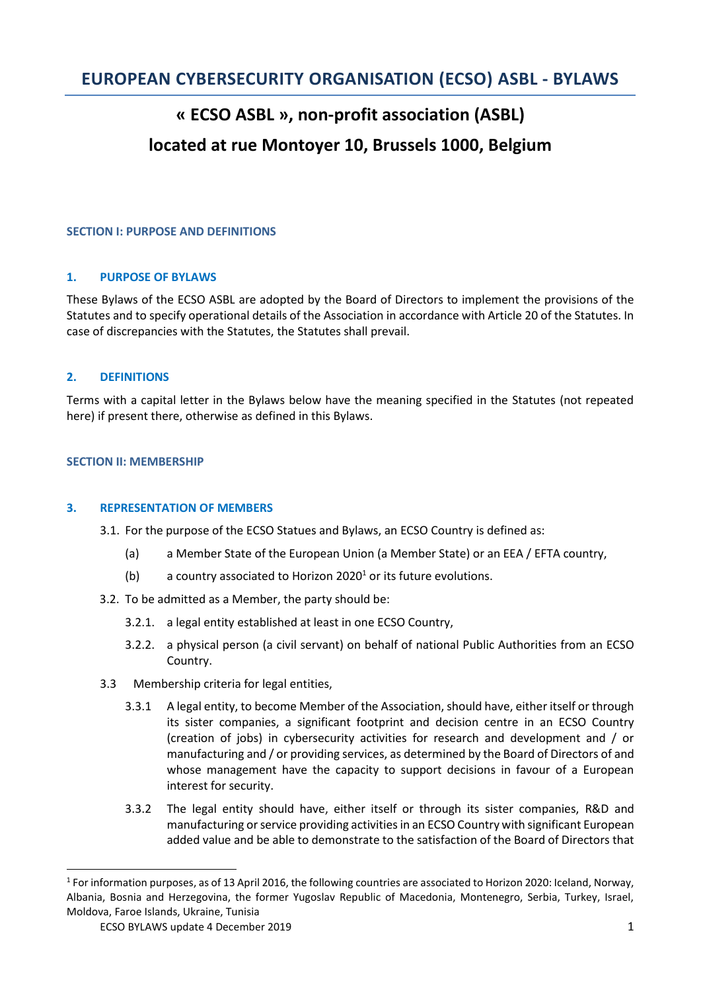# **« ECSO ASBL », non-profit association (ASBL)**

## **located at rue Montoyer 10, Brussels 1000, Belgium**

## **SECTION I: PURPOSE AND DEFINITIONS**

## **1. PURPOSE OF BYLAWS**

These Bylaws of the ECSO ASBL are adopted by the Board of Directors to implement the provisions of the Statutes and to specify operational details of the Association in accordance with Article 20 of the Statutes. In case of discrepancies with the Statutes, the Statutes shall prevail.

## **2. DEFINITIONS**

Terms with a capital letter in the Bylaws below have the meaning specified in the Statutes (not repeated here) if present there, otherwise as defined in this Bylaws.

### **SECTION II: MEMBERSHIP**

### **3. REPRESENTATION OF MEMBERS**

3.1. For the purpose of the ECSO Statues and Bylaws, an ECSO Country is defined as:

- (a) a Member State of the European Union (a Member State) or an EEA / EFTA country,
- (b) a country associated to Horizon 2020<sup>1</sup> or its future evolutions.
- 3.2. To be admitted as a Member, the party should be:
	- 3.2.1. a legal entity established at least in one ECSO Country,
	- 3.2.2. a physical person (a civil servant) on behalf of national Public Authorities from an ECSO Country.
- 3.3 Membership criteria for legal entities,
	- 3.3.1 A legal entity, to become Member of the Association, should have, either itself or through its sister companies, a significant footprint and decision centre in an ECSO Country (creation of jobs) in cybersecurity activities for research and development and / or manufacturing and / or providing services, as determined by the Board of Directors of and whose management have the capacity to support decisions in favour of a European interest for security.
	- 3.3.2 The legal entity should have, either itself or through its sister companies, R&D and manufacturing or service providing activities in an ECSO Country with significant European added value and be able to demonstrate to the satisfaction of the Board of Directors that

 $1$  For information purposes, as of 13 April 2016, the following countries are associated to Horizon 2020: Iceland, Norway, Albania, Bosnia and Herzegovina, the former Yugoslav Republic of Macedonia, Montenegro, Serbia, Turkey, Israel, Moldova, Faroe Islands, Ukraine, Tunisia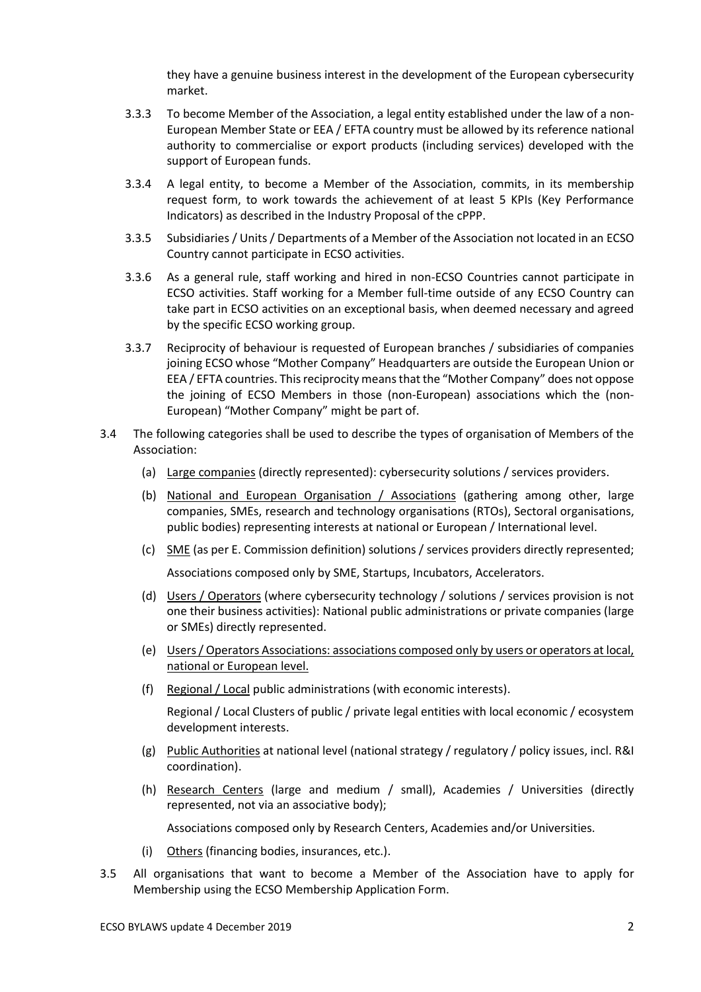they have a genuine business interest in the development of the European cybersecurity market.

- 3.3.3 To become Member of the Association, a legal entity established under the law of a non-European Member State or EEA / EFTA country must be allowed by its reference national authority to commercialise or export products (including services) developed with the support of European funds.
- 3.3.4 A legal entity, to become a Member of the Association, commits, in its membership request form, to work towards the achievement of at least 5 KPIs (Key Performance Indicators) as described in the Industry Proposal of the cPPP.
- 3.3.5 Subsidiaries / Units / Departments of a Member of the Association not located in an ECSO Country cannot participate in ECSO activities.
- 3.3.6 As a general rule, staff working and hired in non-ECSO Countries cannot participate in ECSO activities. Staff working for a Member full‐time outside of any ECSO Country can take part in ECSO activities on an exceptional basis, when deemed necessary and agreed by the specific ECSO working group.
- 3.3.7 Reciprocity of behaviour is requested of European branches / subsidiaries of companies joining ECSO whose "Mother Company" Headquarters are outside the European Union or EEA / EFTA countries. This reciprocity meansthat the "Mother Company" does not oppose the joining of ECSO Members in those (non‐European) associations which the (non‐ European) "Mother Company" might be part of.
- 3.4 The following categories shall be used to describe the types of organisation of Members of the Association:
	- (a) Large companies (directly represented): cybersecurity solutions / services providers.
	- (b) National and European Organisation / Associations (gathering among other, large companies, SMEs, research and technology organisations (RTOs), Sectoral organisations, public bodies) representing interests at national or European / International level.
	- (c) SME (as per E. Commission definition) solutions / services providers directly represented;

Associations composed only by SME, Startups, Incubators, Accelerators.

- (d) Users / Operators (where cybersecurity technology / solutions / services provision is not one their business activities): National public administrations or private companies (large or SMEs) directly represented.
- (e) Users / Operators Associations: associations composed only by users or operators at local, national or European level.
- (f) Regional / Local public administrations (with economic interests).

Regional / Local Clusters of public / private legal entities with local economic / ecosystem development interests.

- (g) Public Authorities at national level (national strategy / regulatory / policy issues, incl. R&I coordination).
- (h) Research Centers (large and medium / small), Academies / Universities (directly represented, not via an associative body);

Associations composed only by Research Centers, Academies and/or Universities.

- (i) Others (financing bodies, insurances, etc.).
- 3.5 All organisations that want to become a Member of the Association have to apply for Membership using the ECSO Membership Application Form.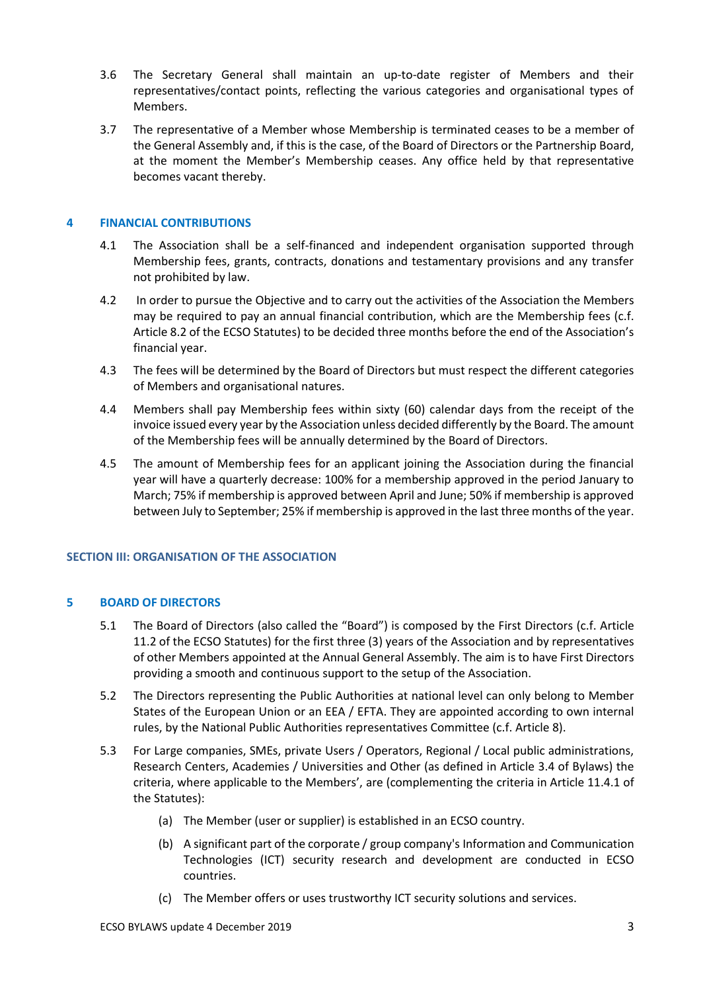- 3.6 The Secretary General shall maintain an up-to-date register of Members and their representatives/contact points, reflecting the various categories and organisational types of Members.
- 3.7 The representative of a Member whose Membership is terminated ceases to be a member of the General Assembly and, if this is the case, of the Board of Directors or the Partnership Board, at the moment the Member's Membership ceases. Any office held by that representative becomes vacant thereby.

## **4 FINANCIAL CONTRIBUTIONS**

- 4.1 The Association shall be a self-financed and independent organisation supported through Membership fees, grants, contracts, donations and testamentary provisions and any transfer not prohibited by law.
- 4.2 In order to pursue the Objective and to carry out the activities of the Association the Members may be required to pay an annual financial contribution, which are the Membership fees (c.f. Article 8.2 of the ECSO Statutes) to be decided three months before the end of the Association's financial year.
- 4.3 The fees will be determined by the Board of Directors but must respect the different categories of Members and organisational natures.
- 4.4 Members shall pay Membership fees within sixty (60) calendar days from the receipt of the invoice issued every year by the Association unless decided differently by the Board. The amount of the Membership fees will be annually determined by the Board of Directors.
- 4.5 The amount of Membership fees for an applicant joining the Association during the financial year will have a quarterly decrease: 100% for a membership approved in the period January to March; 75% if membership is approved between April and June; 50% if membership is approved between July to September; 25% if membership is approved in the last three months of the year.

### **SECTION III: ORGANISATION OF THE ASSOCIATION**

### **5 BOARD OF DIRECTORS**

- 5.1 The Board of Directors (also called the "Board") is composed by the First Directors (c.f. Article 11.2 of the ECSO Statutes) for the first three (3) years of the Association and by representatives of other Members appointed at the Annual General Assembly. The aim is to have First Directors providing a smooth and continuous support to the setup of the Association.
- 5.2 The Directors representing the Public Authorities at national level can only belong to Member States of the European Union or an EEA / EFTA. They are appointed according to own internal rules, by the National Public Authorities representatives Committee (c.f. Article 8).
- 5.3 For Large companies, SMEs, private Users / Operators, Regional / Local public administrations, Research Centers, Academies / Universities and Other (as defined in Article 3.4 of Bylaws) the criteria, where applicable to the Members', are (complementing the criteria in Article 11.4.1 of the Statutes):
	- (a) The Member (user or supplier) is established in an ECSO country.
	- (b) A significant part of the corporate / group company's Information and Communication Technologies (ICT) security research and development are conducted in ECSO countries.
	- (c) The Member offers or uses trustworthy ICT security solutions and services.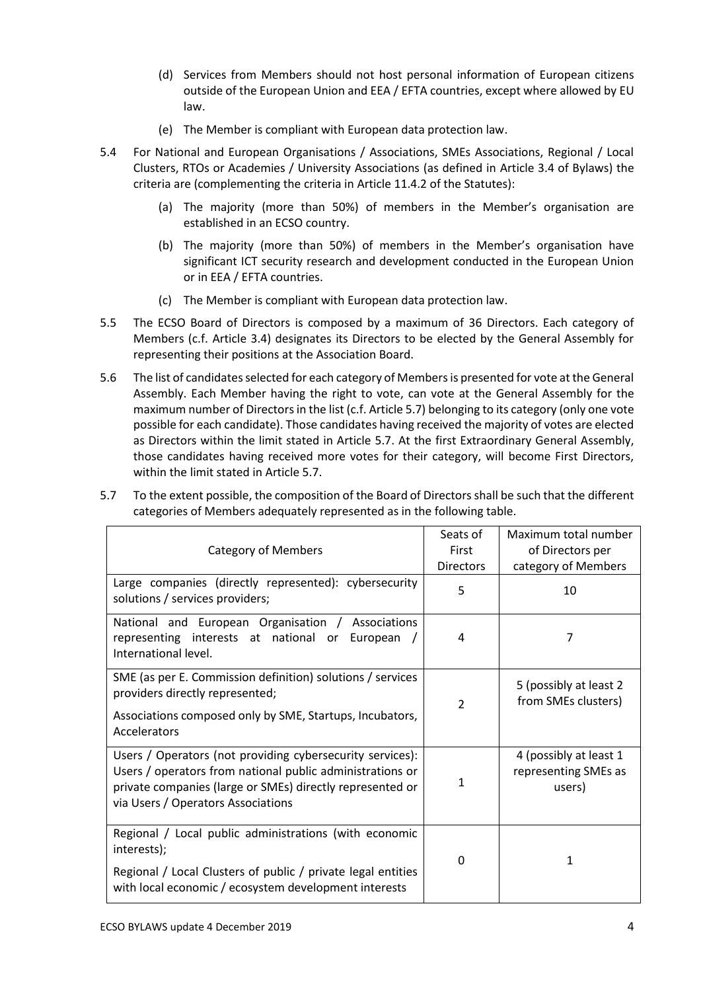- (d) Services from Members should not host personal information of European citizens outside of the European Union and EEA / EFTA countries, except where allowed by EU law.
- (e) The Member is compliant with European data protection law.
- 5.4 For National and European Organisations / Associations, SMEs Associations, Regional / Local Clusters, RTOs or Academies / University Associations (as defined in Article 3.4 of Bylaws) the criteria are (complementing the criteria in Article 11.4.2 of the Statutes):
	- (a) The majority (more than 50%) of members in the Member's organisation are established in an ECSO country.
	- (b) The majority (more than 50%) of members in the Member's organisation have significant ICT security research and development conducted in the European Union or in EEA / EFTA countries.
	- (c) The Member is compliant with European data protection law.
- 5.5 The ECSO Board of Directors is composed by a maximum of 36 Directors. Each category of Members (c.f. Article 3.4) designates its Directors to be elected by the General Assembly for representing their positions at the Association Board.
- 5.6 The list of candidates selected for each category of Members is presented for vote at the General Assembly. Each Member having the right to vote, can vote at the General Assembly for the maximum number of Directorsin the list (c.f. Article 5.7) belonging to its category (only one vote possible for each candidate). Those candidates having received the majority of votes are elected as Directors within the limit stated in Article 5.7. At the first Extraordinary General Assembly, those candidates having received more votes for their category, will become First Directors, within the limit stated in Article 5.7.

| <b>Category of Members</b>                                                                                                                                                                                                | Seats of<br>First<br><b>Directors</b> | Maximum total number<br>of Directors per<br>category of Members |
|---------------------------------------------------------------------------------------------------------------------------------------------------------------------------------------------------------------------------|---------------------------------------|-----------------------------------------------------------------|
| Large companies (directly represented): cybersecurity<br>solutions / services providers;                                                                                                                                  | 5                                     | 10                                                              |
| National and European Organisation / Associations<br>representing interests at national or European<br>International level.                                                                                               | 4                                     | 7                                                               |
| SME (as per E. Commission definition) solutions / services<br>providers directly represented;<br>Associations composed only by SME, Startups, Incubators,<br>Accelerators                                                 | $\mathfrak{p}$                        | 5 (possibly at least 2<br>from SMEs clusters)                   |
| Users / Operators (not providing cybersecurity services):<br>Users / operators from national public administrations or<br>private companies (large or SMEs) directly represented or<br>via Users / Operators Associations | 1                                     | 4 (possibly at least 1<br>representing SMEs as<br>users)        |
| Regional / Local public administrations (with economic<br>interests);<br>Regional / Local Clusters of public / private legal entities<br>with local economic / ecosystem development interests                            | 0                                     | 1                                                               |

5.7 To the extent possible, the composition of the Board of Directors shall be such that the different categories of Members adequately represented as in the following table.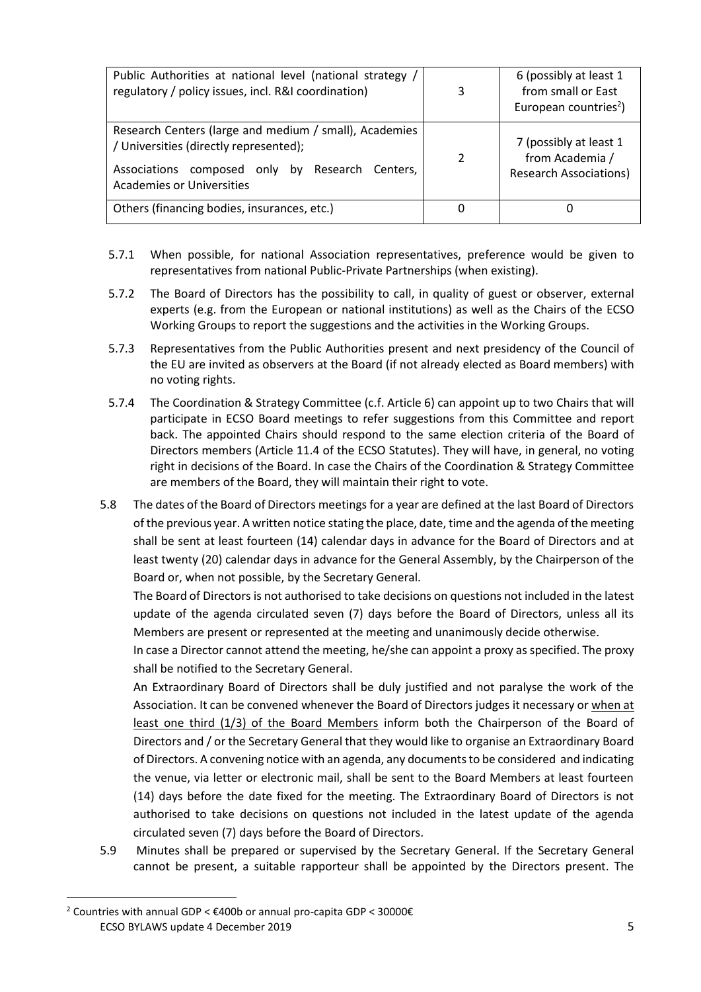| Public Authorities at national level (national strategy /<br>regulatory / policy issues, incl. R&I coordination)                                                                    | 3             | 6 (possibly at least 1<br>from small or East<br>European countries <sup>2</sup> ) |
|-------------------------------------------------------------------------------------------------------------------------------------------------------------------------------------|---------------|-----------------------------------------------------------------------------------|
| Research Centers (large and medium / small), Academies<br>/ Universities (directly represented);<br>composed only by Research Centers,<br>Associations<br>Academies or Universities | $\mathcal{P}$ | 7 (possibly at least 1<br>from Academia /<br><b>Research Associations)</b>        |
| Others (financing bodies, insurances, etc.)                                                                                                                                         |               |                                                                                   |

- 5.7.1 When possible, for national Association representatives, preference would be given to representatives from national Public-Private Partnerships (when existing).
- 5.7.2 The Board of Directors has the possibility to call, in quality of guest or observer, external experts (e.g. from the European or national institutions) as well as the Chairs of the ECSO Working Groups to report the suggestions and the activities in the Working Groups.
- 5.7.3 Representatives from the Public Authorities present and next presidency of the Council of the EU are invited as observers at the Board (if not already elected as Board members) with no voting rights.
- 5.7.4 The Coordination & Strategy Committee (c.f. Article 6) can appoint up to two Chairs that will participate in ECSO Board meetings to refer suggestions from this Committee and report back. The appointed Chairs should respond to the same election criteria of the Board of Directors members (Article 11.4 of the ECSO Statutes). They will have, in general, no voting right in decisions of the Board. In case the Chairs of the Coordination & Strategy Committee are members of the Board, they will maintain their right to vote.
- 5.8 The dates of the Board of Directors meetings for a year are defined at the last Board of Directors of the previous year. A written notice stating the place, date, time and the agenda of the meeting shall be sent at least fourteen (14) calendar days in advance for the Board of Directors and at least twenty (20) calendar days in advance for the General Assembly, by the Chairperson of the Board or, when not possible, by the Secretary General.

The Board of Directors is not authorised to take decisions on questions not included in the latest update of the agenda circulated seven (7) days before the Board of Directors, unless all its Members are present or represented at the meeting and unanimously decide otherwise.

In case a Director cannot attend the meeting, he/she can appoint a proxy as specified. The proxy shall be notified to the Secretary General.

An Extraordinary Board of Directors shall be duly justified and not paralyse the work of the Association. It can be convened whenever the Board of Directors judges it necessary or when at least one third (1/3) of the Board Members inform both the Chairperson of the Board of Directors and / or the Secretary General that they would like to organise an Extraordinary Board of Directors. A convening notice with an agenda, any documents to be considered and indicating the venue, via letter or electronic mail, shall be sent to the Board Members at least fourteen (14) days before the date fixed for the meeting. The Extraordinary Board of Directors is not authorised to take decisions on questions not included in the latest update of the agenda circulated seven (7) days before the Board of Directors.

5.9 Minutes shall be prepared or supervised by the Secretary General. If the Secretary General cannot be present, a suitable rapporteur shall be appointed by the Directors present. The

ECSO BYLAWS update 4 December 2019 **5** <sup>2</sup> Countries with annual GDP < €400b or annual pro-capita GDP < 30000€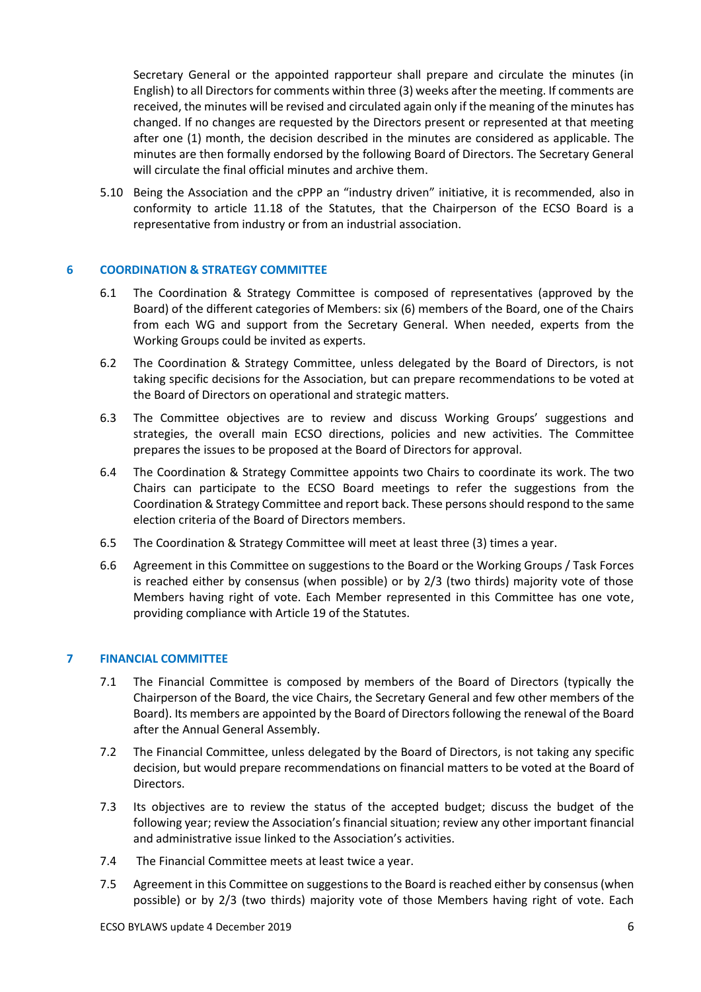Secretary General or the appointed rapporteur shall prepare and circulate the minutes (in English) to all Directors for comments within three (3) weeks after the meeting. If comments are received, the minutes will be revised and circulated again only if the meaning of the minutes has changed. If no changes are requested by the Directors present or represented at that meeting after one (1) month, the decision described in the minutes are considered as applicable. The minutes are then formally endorsed by the following Board of Directors. The Secretary General will circulate the final official minutes and archive them.

5.10 Being the Association and the cPPP an "industry driven" initiative, it is recommended, also in conformity to article 11.18 of the Statutes, that the Chairperson of the ECSO Board is a representative from industry or from an industrial association.

### **6 COORDINATION & STRATEGY COMMITTEE**

- 6.1 The Coordination & Strategy Committee is composed of representatives (approved by the Board) of the different categories of Members: six (6) members of the Board, one of the Chairs from each WG and support from the Secretary General. When needed, experts from the Working Groups could be invited as experts.
- 6.2 The Coordination & Strategy Committee, unless delegated by the Board of Directors, is not taking specific decisions for the Association, but can prepare recommendations to be voted at the Board of Directors on operational and strategic matters.
- 6.3 The Committee objectives are to review and discuss Working Groups' suggestions and strategies, the overall main ECSO directions, policies and new activities. The Committee prepares the issues to be proposed at the Board of Directors for approval.
- 6.4 The Coordination & Strategy Committee appoints two Chairs to coordinate its work. The two Chairs can participate to the ECSO Board meetings to refer the suggestions from the Coordination & Strategy Committee and report back. These persons should respond to the same election criteria of the Board of Directors members.
- 6.5 The Coordination & Strategy Committee will meet at least three (3) times a year.
- 6.6 Agreement in this Committee on suggestions to the Board or the Working Groups / Task Forces is reached either by consensus (when possible) or by 2/3 (two thirds) majority vote of those Members having right of vote. Each Member represented in this Committee has one vote, providing compliance with Article 19 of the Statutes.

#### **7 FINANCIAL COMMITTEE**

- 7.1 The Financial Committee is composed by members of the Board of Directors (typically the Chairperson of the Board, the vice Chairs, the Secretary General and few other members of the Board). Its members are appointed by the Board of Directors following the renewal of the Board after the Annual General Assembly.
- 7.2 The Financial Committee, unless delegated by the Board of Directors, is not taking any specific decision, but would prepare recommendations on financial matters to be voted at the Board of Directors.
- 7.3 Its objectives are to review the status of the accepted budget; discuss the budget of the following year; review the Association's financial situation; review any other important financial and administrative issue linked to the Association's activities.
- 7.4 The Financial Committee meets at least twice a year.
- 7.5 Agreement in this Committee on suggestions to the Board is reached either by consensus (when possible) or by 2/3 (two thirds) majority vote of those Members having right of vote. Each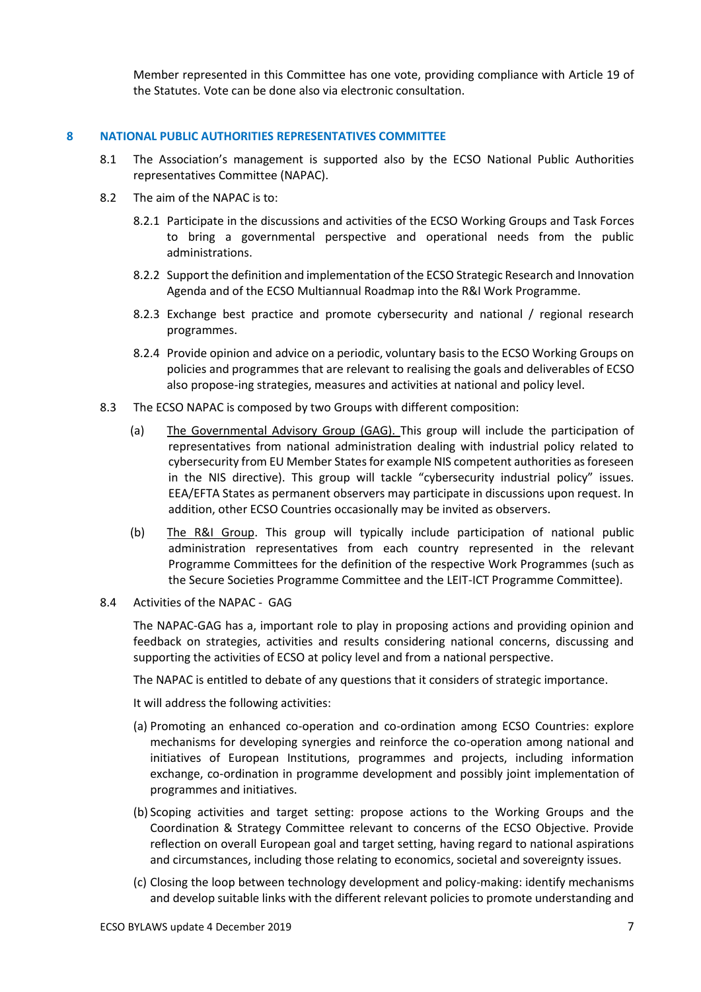Member represented in this Committee has one vote, providing compliance with Article 19 of the Statutes. Vote can be done also via electronic consultation.

#### **8 NATIONAL PUBLIC AUTHORITIES REPRESENTATIVES COMMITTEE**

- 8.1 The Association's management is supported also by the ECSO National Public Authorities representatives Committee (NAPAC).
- 8.2 The aim of the NAPAC is to:
	- 8.2.1 Participate in the discussions and activities of the ECSO Working Groups and Task Forces to bring a governmental perspective and operational needs from the public administrations.
	- 8.2.2 Support the definition and implementation of the ECSO Strategic Research and Innovation Agenda and of the ECSO Multiannual Roadmap into the R&I Work Programme.
	- 8.2.3 Exchange best practice and promote cybersecurity and national / regional research programmes.
	- 8.2.4 Provide opinion and advice on a periodic, voluntary basis to the ECSO Working Groups on policies and programmes that are relevant to realising the goals and deliverables of ECSO also propose-ing strategies, measures and activities at national and policy level.
- 8.3 The ECSO NAPAC is composed by two Groups with different composition:
	- (a) The Governmental Advisory Group (GAG). This group will include the participation of representatives from national administration dealing with industrial policy related to cybersecurity from EU Member States for example NIS competent authorities as foreseen in the NIS directive). This group will tackle "cybersecurity industrial policy" issues. EEA/EFTA States as permanent observers may participate in discussions upon request. In addition, other ECSO Countries occasionally may be invited as observers.
	- (b) The R&I Group. This group will typically include participation of national public administration representatives from each country represented in the relevant Programme Committees for the definition of the respective Work Programmes (such as the Secure Societies Programme Committee and the LEIT-ICT Programme Committee).
- 8.4 Activities of the NAPAC GAG

The NAPAC-GAG has a, important role to play in proposing actions and providing opinion and feedback on strategies, activities and results considering national concerns, discussing and supporting the activities of ECSO at policy level and from a national perspective.

The NAPAC is entitled to debate of any questions that it considers of strategic importance.

It will address the following activities:

- (a) Promoting an enhanced co-operation and co-ordination among ECSO Countries: explore mechanisms for developing synergies and reinforce the co-operation among national and initiatives of European Institutions, programmes and projects, including information exchange, co-ordination in programme development and possibly joint implementation of programmes and initiatives.
- (b) Scoping activities and target setting: propose actions to the Working Groups and the Coordination & Strategy Committee relevant to concerns of the ECSO Objective. Provide reflection on overall European goal and target setting, having regard to national aspirations and circumstances, including those relating to economics, societal and sovereignty issues.
- (c) Closing the loop between technology development and policy-making: identify mechanisms and develop suitable links with the different relevant policies to promote understanding and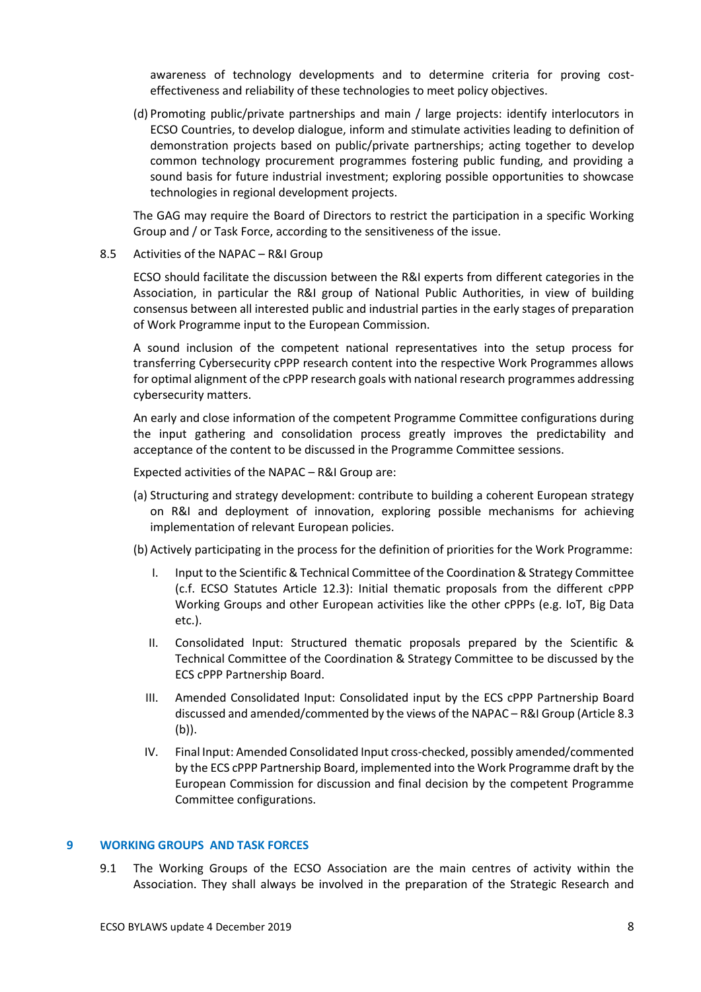awareness of technology developments and to determine criteria for proving costeffectiveness and reliability of these technologies to meet policy objectives.

(d) Promoting public/private partnerships and main / large projects: identify interlocutors in ECSO Countries, to develop dialogue, inform and stimulate activities leading to definition of demonstration projects based on public/private partnerships; acting together to develop common technology procurement programmes fostering public funding, and providing a sound basis for future industrial investment; exploring possible opportunities to showcase technologies in regional development projects.

The GAG may require the Board of Directors to restrict the participation in a specific Working Group and / or Task Force, according to the sensitiveness of the issue.

8.5 Activities of the NAPAC – R&I Group

ECSO should facilitate the discussion between the R&I experts from different categories in the Association, in particular the R&I group of National Public Authorities, in view of building consensus between all interested public and industrial parties in the early stages of preparation of Work Programme input to the European Commission.

A sound inclusion of the competent national representatives into the setup process for transferring Cybersecurity cPPP research content into the respective Work Programmes allows for optimal alignment of the cPPP research goals with national research programmes addressing cybersecurity matters.

An early and close information of the competent Programme Committee configurations during the input gathering and consolidation process greatly improves the predictability and acceptance of the content to be discussed in the Programme Committee sessions.

Expected activities of the NAPAC – R&I Group are:

- (a) Structuring and strategy development: contribute to building a coherent European strategy on R&I and deployment of innovation, exploring possible mechanisms for achieving implementation of relevant European policies.
- (b) Actively participating in the process for the definition of priorities for the Work Programme:
	- I. Input to the Scientific & Technical Committee of the Coordination & Strategy Committee (c.f. ECSO Statutes Article 12.3): Initial thematic proposals from the different cPPP Working Groups and other European activities like the other cPPPs (e.g. IoT, Big Data etc.).
	- II. Consolidated Input: Structured thematic proposals prepared by the Scientific & Technical Committee of the Coordination & Strategy Committee to be discussed by the ECS cPPP Partnership Board.
	- III. Amended Consolidated Input: Consolidated input by the ECS cPPP Partnership Board discussed and amended/commented by the views of the NAPAC – R&I Group (Article 8.3 (b)).
	- IV. Final Input: Amended Consolidated Input cross-checked, possibly amended/commented by the ECS cPPP Partnership Board, implemented into the Work Programme draft by the European Commission for discussion and final decision by the competent Programme Committee configurations.

## **9 WORKING GROUPS AND TASK FORCES**

9.1 The Working Groups of the ECSO Association are the main centres of activity within the Association. They shall always be involved in the preparation of the Strategic Research and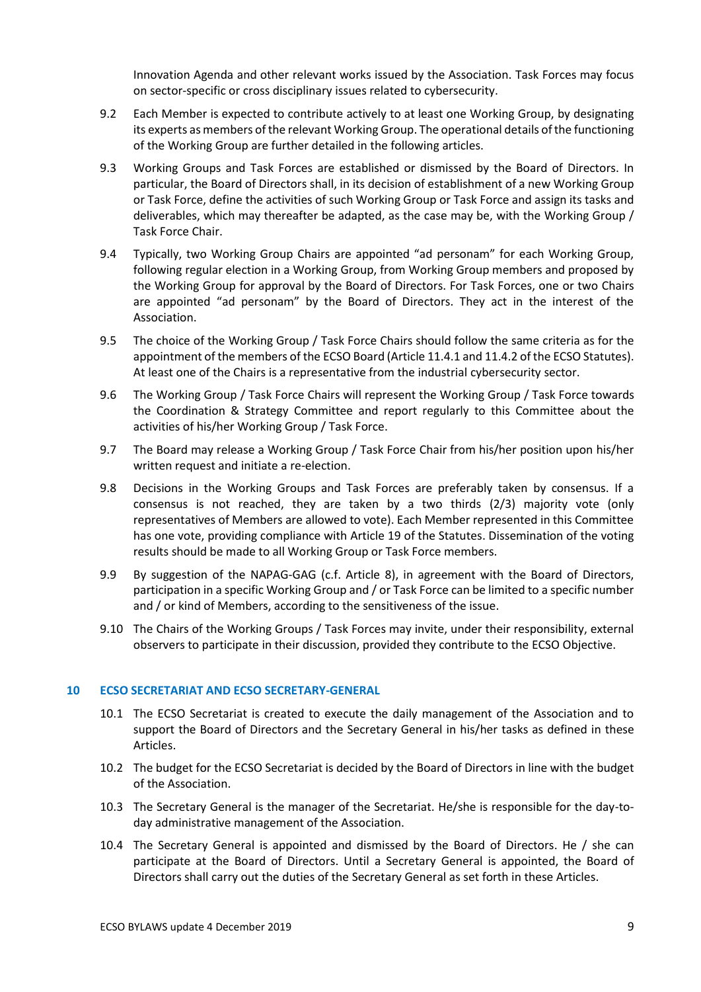Innovation Agenda and other relevant works issued by the Association. Task Forces may focus on sector-specific or cross disciplinary issues related to cybersecurity.

- 9.2 Each Member is expected to contribute actively to at least one Working Group, by designating its experts as members of the relevant Working Group. The operational details of the functioning of the Working Group are further detailed in the following articles.
- 9.3 Working Groups and Task Forces are established or dismissed by the Board of Directors. In particular, the Board of Directors shall, in its decision of establishment of a new Working Group or Task Force, define the activities of such Working Group or Task Force and assign its tasks and deliverables, which may thereafter be adapted, as the case may be, with the Working Group / Task Force Chair.
- 9.4 Typically, two Working Group Chairs are appointed "ad personam" for each Working Group, following regular election in a Working Group, from Working Group members and proposed by the Working Group for approval by the Board of Directors. For Task Forces, one or two Chairs are appointed "ad personam" by the Board of Directors. They act in the interest of the Association.
- 9.5 The choice of the Working Group / Task Force Chairs should follow the same criteria as for the appointment of the members of the ECSO Board (Article 11.4.1 and 11.4.2 of the ECSO Statutes). At least one of the Chairs is a representative from the industrial cybersecurity sector.
- 9.6 The Working Group / Task Force Chairs will represent the Working Group / Task Force towards the Coordination & Strategy Committee and report regularly to this Committee about the activities of his/her Working Group / Task Force.
- 9.7 The Board may release a Working Group / Task Force Chair from his/her position upon his/her written request and initiate a re-election.
- 9.8 Decisions in the Working Groups and Task Forces are preferably taken by consensus. If a consensus is not reached, they are taken by a two thirds (2/3) majority vote (only representatives of Members are allowed to vote). Each Member represented in this Committee has one vote, providing compliance with Article 19 of the Statutes. Dissemination of the voting results should be made to all Working Group or Task Force members.
- 9.9 By suggestion of the NAPAG-GAG (c.f. Article 8), in agreement with the Board of Directors, participation in a specific Working Group and / or Task Force can be limited to a specific number and / or kind of Members, according to the sensitiveness of the issue.
- 9.10 The Chairs of the Working Groups / Task Forces may invite, under their responsibility, external observers to participate in their discussion, provided they contribute to the ECSO Objective.

### **10 ECSO SECRETARIAT AND ECSO SECRETARY-GENERAL**

- 10.1 The ECSO Secretariat is created to execute the daily management of the Association and to support the Board of Directors and the Secretary General in his/her tasks as defined in these Articles.
- 10.2 The budget for the ECSO Secretariat is decided by the Board of Directors in line with the budget of the Association.
- 10.3 The Secretary General is the manager of the Secretariat. He/she is responsible for the day-today administrative management of the Association.
- 10.4 The Secretary General is appointed and dismissed by the Board of Directors. He / she can participate at the Board of Directors. Until a Secretary General is appointed, the Board of Directors shall carry out the duties of the Secretary General as set forth in these Articles.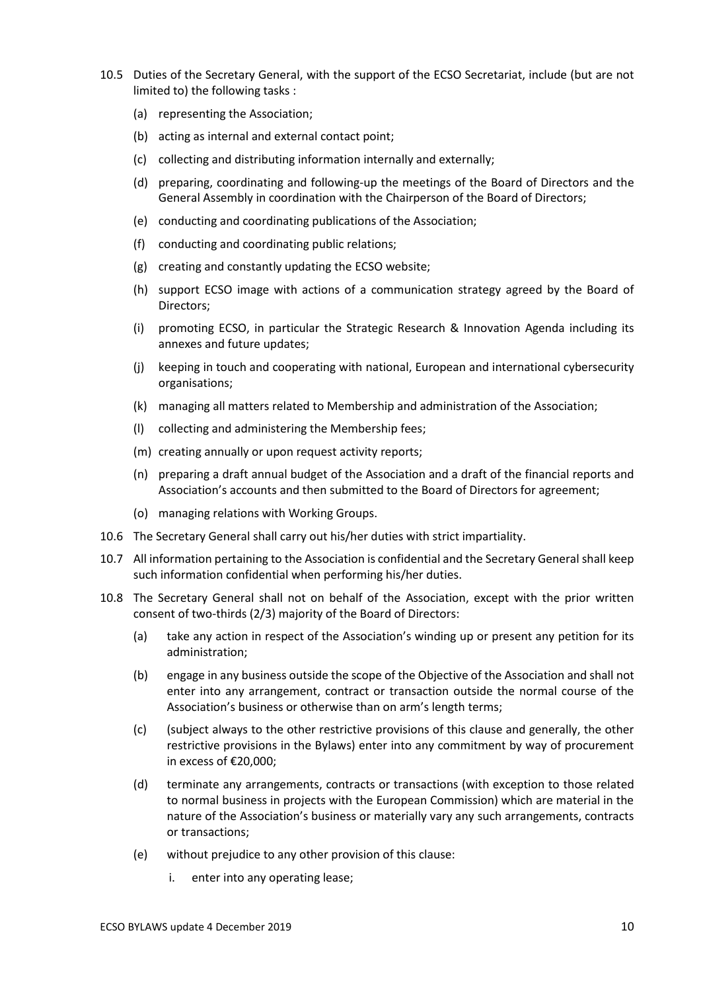- 10.5 Duties of the Secretary General, with the support of the ECSO Secretariat, include (but are not limited to) the following tasks :
	- (a) representing the Association;
	- (b) acting as internal and external contact point;
	- (c) collecting and distributing information internally and externally;
	- (d) preparing, coordinating and following-up the meetings of the Board of Directors and the General Assembly in coordination with the Chairperson of the Board of Directors;
	- (e) conducting and coordinating publications of the Association;
	- (f) conducting and coordinating public relations;
	- (g) creating and constantly updating the ECSO website;
	- (h) support ECSO image with actions of a communication strategy agreed by the Board of Directors;
	- (i) promoting ECSO, in particular the Strategic Research & Innovation Agenda including its annexes and future updates;
	- (j) keeping in touch and cooperating with national, European and international cybersecurity organisations;
	- (k) managing all matters related to Membership and administration of the Association;
	- (l) collecting and administering the Membership fees;
	- (m) creating annually or upon request activity reports;
	- (n) preparing a draft annual budget of the Association and a draft of the financial reports and Association's accounts and then submitted to the Board of Directors for agreement;
	- (o) managing relations with Working Groups.
- 10.6 The Secretary General shall carry out his/her duties with strict impartiality.
- 10.7 All information pertaining to the Association is confidential and the Secretary General shall keep such information confidential when performing his/her duties.
- 10.8 The Secretary General shall not on behalf of the Association, except with the prior written consent of two-thirds (2/3) majority of the Board of Directors:
	- (a) take any action in respect of the Association's winding up or present any petition for its administration;
	- (b) engage in any business outside the scope of the Objective of the Association and shall not enter into any arrangement, contract or transaction outside the normal course of the Association's business or otherwise than on arm's length terms;
	- (c) (subject always to the other restrictive provisions of this clause and generally, the other restrictive provisions in the Bylaws) enter into any commitment by way of procurement in excess of €20,000;
	- (d) terminate any arrangements, contracts or transactions (with exception to those related to normal business in projects with the European Commission) which are material in the nature of the Association's business or materially vary any such arrangements, contracts or transactions;
	- (e) without prejudice to any other provision of this clause:
		- i. enter into any operating lease;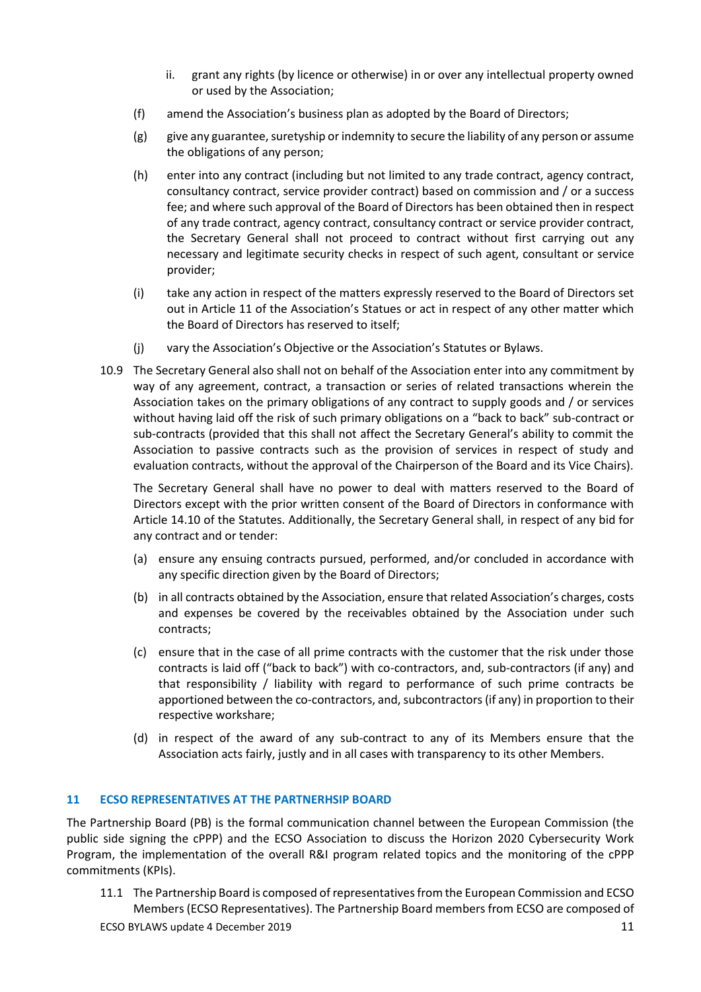- ii. grant any rights (by licence or otherwise) in or over any intellectual property owned or used by the Association;
- (f) amend the Association's business plan as adopted by the Board of Directors;
- (g) give any guarantee, suretyship or indemnity to secure the liability of any person or assume the obligations of any person;
- (h) enter into any contract (including but not limited to any trade contract, agency contract, consultancy contract, service provider contract) based on commission and / or a success fee; and where such approval of the Board of Directors has been obtained then in respect of any trade contract, agency contract, consultancy contract or service provider contract, the Secretary General shall not proceed to contract without first carrying out any necessary and legitimate security checks in respect of such agent, consultant or service provider;
- (i) take any action in respect of the matters expressly reserved to the Board of Directors set out in Article 11 of the Association's Statues or act in respect of any other matter which the Board of Directors has reserved to itself;
- (j) vary the Association's Objective or the Association's Statutes or Bylaws.
- 10.9 The Secretary General also shall not on behalf of the Association enter into any commitment by way of any agreement, contract, a transaction or series of related transactions wherein the Association takes on the primary obligations of any contract to supply goods and / or services without having laid off the risk of such primary obligations on a "back to back" sub-contract or sub-contracts (provided that this shall not affect the Secretary General's ability to commit the Association to passive contracts such as the provision of services in respect of study and evaluation contracts, without the approval of the Chairperson of the Board and its Vice Chairs).

The Secretary General shall have no power to deal with matters reserved to the Board of Directors except with the prior written consent of the Board of Directors in conformance with Article 14.10 of the Statutes. Additionally, the Secretary General shall, in respect of any bid for any contract and or tender:

- (a) ensure any ensuing contracts pursued, performed, and/or concluded in accordance with any specific direction given by the Board of Directors;
- (b) in all contracts obtained by the Association, ensure that related Association's charges, costs and expenses be covered by the receivables obtained by the Association under such contracts;
- (c) ensure that in the case of all prime contracts with the customer that the risk under those contracts is laid off ("back to back") with co-contractors, and, sub-contractors (if any) and that responsibility / liability with regard to performance of such prime contracts be apportioned between the co-contractors, and, subcontractors (if any) in proportion to their respective workshare;
- (d) in respect of the award of any sub-contract to any of its Members ensure that the Association acts fairly, justly and in all cases with transparency to its other Members.

### **11 ECSO REPRESENTATIVES AT THE PARTNERHSIP BOARD**

The Partnership Board (PB) is the formal communication channel between the European Commission (the public side signing the cPPP) and the ECSO Association to discuss the Horizon 2020 Cybersecurity Work Program, the implementation of the overall R&I program related topics and the monitoring of the cPPP commitments (KPIs).

ECSO BYLAWS update 4 December 2019 11 and the state of the state of the state of the state of the state of the state of the state of the state of the state of the state of the state of the state of the state of the state o 11.1 The Partnership Board is composed of representatives from the European Commission and ECSO Members (ECSO Representatives). The Partnership Board members from ECSO are composed of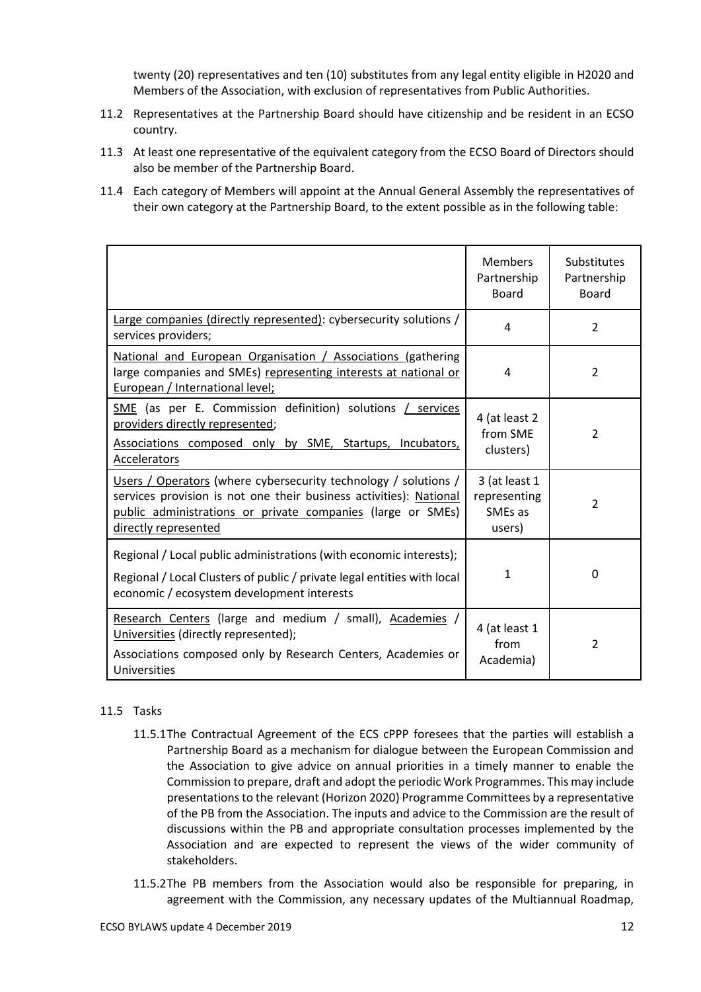twenty (20) representatives and ten (10) substitutes from any legal entity eligible in H2020 and Members of the Association, with exclusion of representatives from Public Authorities.

- 11.2 Representatives at the Partnership Board should have citizenship and be resident in an ECSO country.
- 11.3 At least one representative of the equivalent category from the ECSO Board of Directors should also be member of the Partnership Board.
- 11.4 Each category of Members will appoint at the Annual General Assembly the representatives of their own category at the Partnership Board, to the extent possible as in the following table:

|                                                                                                                                                                                                                              | <b>Members</b><br>Partnership<br><b>Board</b>      | Substitutes<br>Partnership<br><b>Board</b> |
|------------------------------------------------------------------------------------------------------------------------------------------------------------------------------------------------------------------------------|----------------------------------------------------|--------------------------------------------|
| Large companies (directly represented): cybersecurity solutions /<br>services providers;                                                                                                                                     | 4                                                  | $\overline{2}$                             |
| National and European Organisation / Associations (gathering<br>large companies and SMEs) representing interests at national or<br>European / International level;                                                           | 4                                                  | $\overline{2}$                             |
| SME (as per E. Commission definition) solutions / services<br>providers directly represented;<br>Associations composed only by SME, Startups, Incubators,<br>Accelerators                                                    | 4 (at least 2<br>from SME<br>clusters)             | $\overline{2}$                             |
| Users / Operators (where cybersecurity technology / solutions /<br>services provision is not one their business activities): National<br>public administrations or private companies (large or SMEs)<br>directly represented | 3 (at least 1<br>representing<br>SMEs as<br>users) | $\overline{2}$                             |
| Regional / Local public administrations (with economic interests);<br>Regional / Local Clusters of public / private legal entities with local<br>economic / ecosystem development interests                                  | 1                                                  | 0                                          |
| Research Centers (large and medium / small), Academies /<br>Universities (directly represented);<br>Associations composed only by Research Centers, Academies or<br>Universities                                             | 4 (at least 1<br>from<br>Academia)                 | $\overline{2}$                             |

### 11.5 Tasks

- 11.5.1The Contractual Agreement of the ECS cPPP foresees that the parties will establish a Partnership Board as a mechanism for dialogue between the European Commission and the Association to give advice on annual priorities in a timely manner to enable the Commission to prepare, draft and adopt the periodic Work Programmes. This may include presentations to the relevant (Horizon 2020) Programme Committees by a representative of the PB from the Association. The inputs and advice to the Commission are the result of discussions within the PB and appropriate consultation processes implemented by the Association and are expected to represent the views of the wider community of stakeholders.
- 11.5.2The PB members from the Association would also be responsible for preparing, in agreement with the Commission, any necessary updates of the Multiannual Roadmap,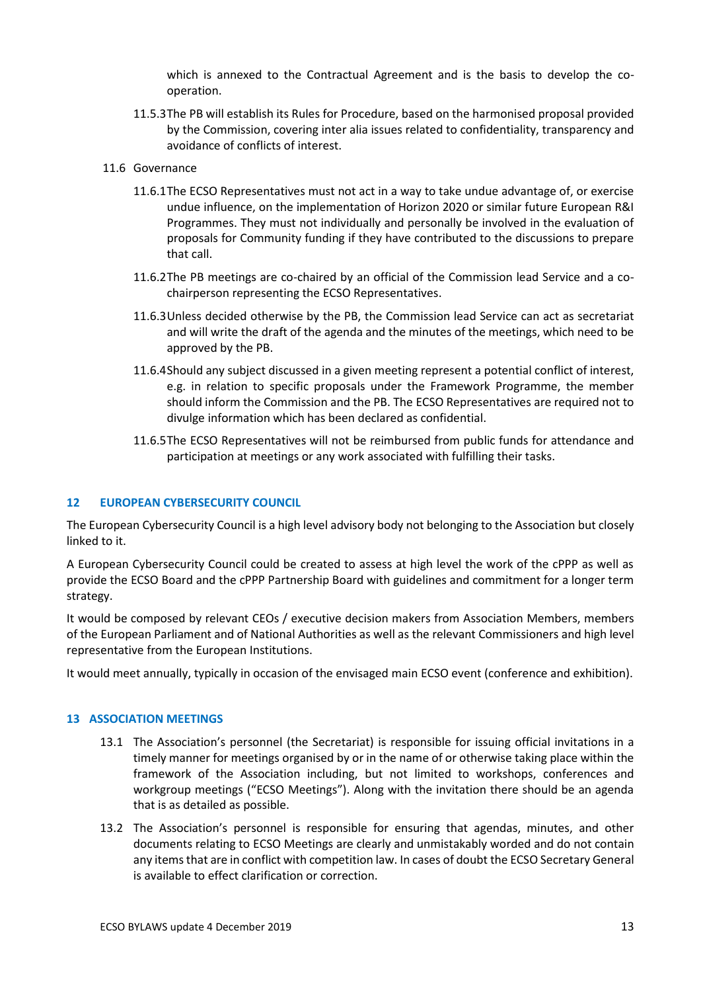which is annexed to the Contractual Agreement and is the basis to develop the cooperation.

- 11.5.3The PB will establish its Rules for Procedure, based on the harmonised proposal provided by the Commission, covering inter alia issues related to confidentiality, transparency and avoidance of conflicts of interest.
- 11.6 Governance
	- 11.6.1The ECSO Representatives must not act in a way to take undue advantage of, or exercise undue influence, on the implementation of Horizon 2020 or similar future European R&I Programmes. They must not individually and personally be involved in the evaluation of proposals for Community funding if they have contributed to the discussions to prepare that call.
	- 11.6.2The PB meetings are co-chaired by an official of the Commission lead Service and a cochairperson representing the ECSO Representatives.
	- 11.6.3Unless decided otherwise by the PB, the Commission lead Service can act as secretariat and will write the draft of the agenda and the minutes of the meetings, which need to be approved by the PB.
	- 11.6.4Should any subject discussed in a given meeting represent a potential conflict of interest, e.g. in relation to specific proposals under the Framework Programme, the member should inform the Commission and the PB. The ECSO Representatives are required not to divulge information which has been declared as confidential.
	- 11.6.5The ECSO Representatives will not be reimbursed from public funds for attendance and participation at meetings or any work associated with fulfilling their tasks.

### **12 EUROPEAN CYBERSECURITY COUNCIL**

The European Cybersecurity Council is a high level advisory body not belonging to the Association but closely linked to it.

A European Cybersecurity Council could be created to assess at high level the work of the cPPP as well as provide the ECSO Board and the cPPP Partnership Board with guidelines and commitment for a longer term strategy.

It would be composed by relevant CEOs / executive decision makers from Association Members, members of the European Parliament and of National Authorities as well as the relevant Commissioners and high level representative from the European Institutions.

It would meet annually, typically in occasion of the envisaged main ECSO event (conference and exhibition).

## **13 ASSOCIATION MEETINGS**

- 13.1 The Association's personnel (the Secretariat) is responsible for issuing official invitations in a timely manner for meetings organised by or in the name of or otherwise taking place within the framework of the Association including, but not limited to workshops, conferences and workgroup meetings ("ECSO Meetings"). Along with the invitation there should be an agenda that is as detailed as possible.
- 13.2 The Association's personnel is responsible for ensuring that agendas, minutes, and other documents relating to ECSO Meetings are clearly and unmistakably worded and do not contain any items that are in conflict with competition law. In cases of doubt the ECSO Secretary General is available to effect clarification or correction.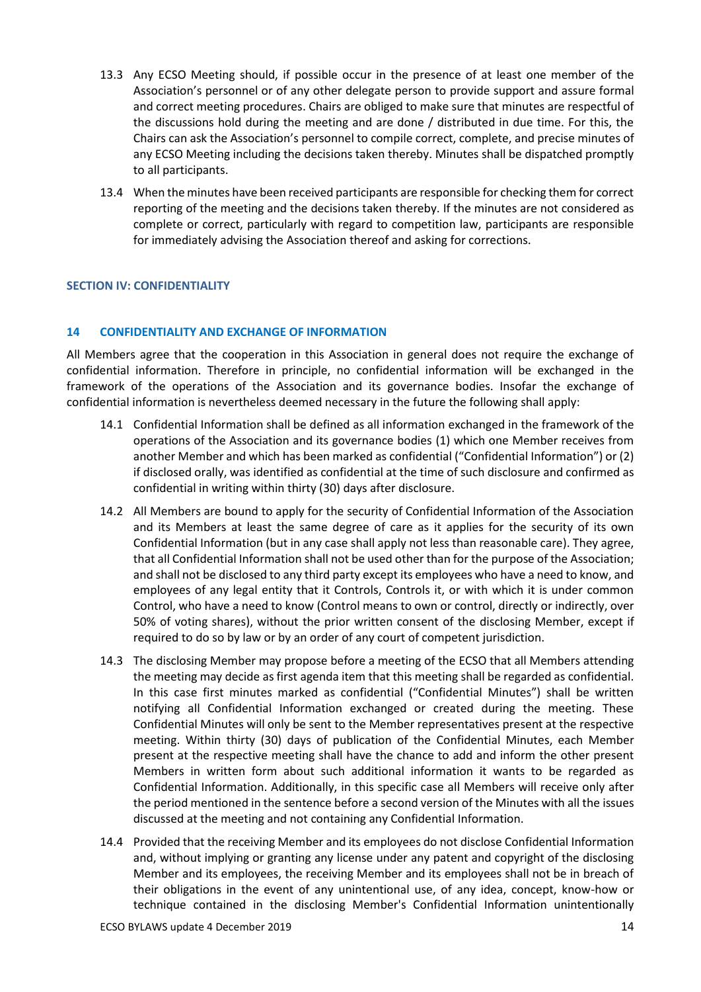- 13.3 Any ECSO Meeting should, if possible occur in the presence of at least one member of the Association's personnel or of any other delegate person to provide support and assure formal and correct meeting procedures. Chairs are obliged to make sure that minutes are respectful of the discussions hold during the meeting and are done / distributed in due time. For this, the Chairs can ask the Association's personnel to compile correct, complete, and precise minutes of any ECSO Meeting including the decisions taken thereby. Minutes shall be dispatched promptly to all participants.
- 13.4 When the minutes have been received participants are responsible for checking them for correct reporting of the meeting and the decisions taken thereby. If the minutes are not considered as complete or correct, particularly with regard to competition law, participants are responsible for immediately advising the Association thereof and asking for corrections.

#### **SECTION IV: CONFIDENTIALITY**

### **14 CONFIDENTIALITY AND EXCHANGE OF INFORMATION**

All Members agree that the cooperation in this Association in general does not require the exchange of confidential information. Therefore in principle, no confidential information will be exchanged in the framework of the operations of the Association and its governance bodies. Insofar the exchange of confidential information is nevertheless deemed necessary in the future the following shall apply:

- 14.1 Confidential Information shall be defined as all information exchanged in the framework of the operations of the Association and its governance bodies (1) which one Member receives from another Member and which has been marked as confidential ("Confidential Information") or (2) if disclosed orally, was identified as confidential at the time of such disclosure and confirmed as confidential in writing within thirty (30) days after disclosure.
- 14.2 All Members are bound to apply for the security of Confidential Information of the Association and its Members at least the same degree of care as it applies for the security of its own Confidential Information (but in any case shall apply not less than reasonable care). They agree, that all Confidential Information shall not be used other than for the purpose of the Association; and shall not be disclosed to any third party except its employees who have a need to know, and employees of any legal entity that it Controls, Controls it, or with which it is under common Control, who have a need to know (Control means to own or control, directly or indirectly, over 50% of voting shares), without the prior written consent of the disclosing Member, except if required to do so by law or by an order of any court of competent jurisdiction.
- 14.3 The disclosing Member may propose before a meeting of the ECSO that all Members attending the meeting may decide as first agenda item that this meeting shall be regarded as confidential. In this case first minutes marked as confidential ("Confidential Minutes") shall be written notifying all Confidential Information exchanged or created during the meeting. These Confidential Minutes will only be sent to the Member representatives present at the respective meeting. Within thirty (30) days of publication of the Confidential Minutes, each Member present at the respective meeting shall have the chance to add and inform the other present Members in written form about such additional information it wants to be regarded as Confidential Information. Additionally, in this specific case all Members will receive only after the period mentioned in the sentence before a second version of the Minutes with all the issues discussed at the meeting and not containing any Confidential Information.
- 14.4 Provided that the receiving Member and its employees do not disclose Confidential Information and, without implying or granting any license under any patent and copyright of the disclosing Member and its employees, the receiving Member and its employees shall not be in breach of their obligations in the event of any unintentional use, of any idea, concept, know-how or technique contained in the disclosing Member's Confidential Information unintentionally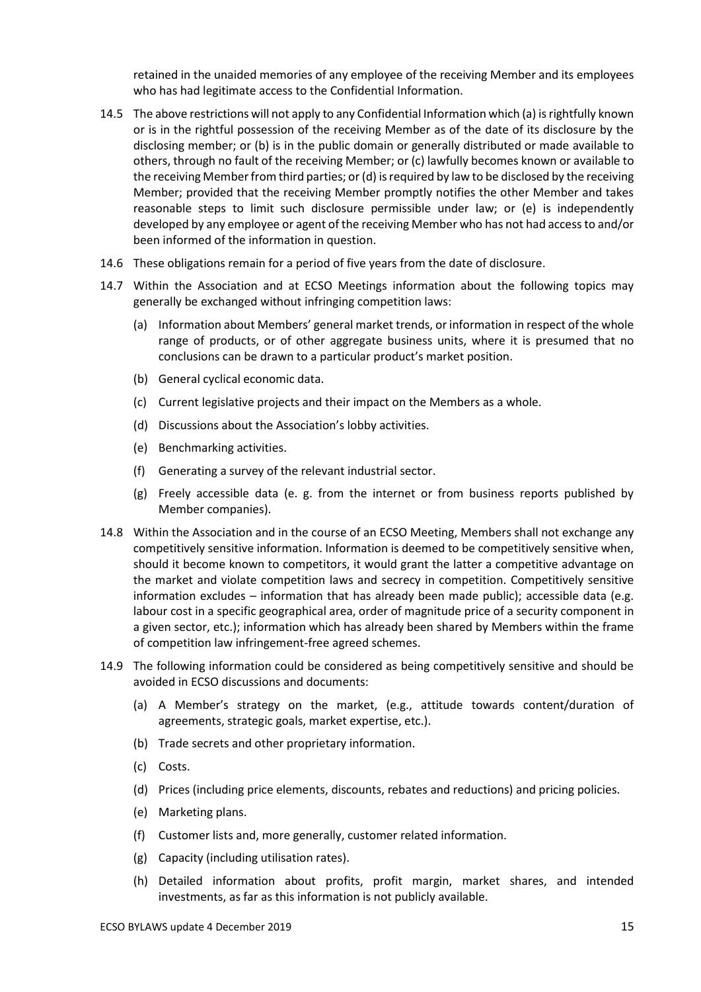retained in the unaided memories of any employee of the receiving Member and its employees who has had legitimate access to the Confidential Information.

- 14.5 The above restrictions will not apply to any Confidential Information which (a) is rightfully known or is in the rightful possession of the receiving Member as of the date of its disclosure by the disclosing member; or (b) is in the public domain or generally distributed or made available to others, through no fault of the receiving Member; or (c) lawfully becomes known or available to the receiving Member from third parties; or (d) is required by law to be disclosed by the receiving Member; provided that the receiving Member promptly notifies the other Member and takes reasonable steps to limit such disclosure permissible under law; or (e) is independently developed by any employee or agent of the receiving Member who has not had access to and/or been informed of the information in question.
- 14.6 These obligations remain for a period of five years from the date of disclosure.
- 14.7 Within the Association and at ECSO Meetings information about the following topics may generally be exchanged without infringing competition laws:
	- (a) Information about Members' general market trends, or information in respect of the whole range of products, or of other aggregate business units, where it is presumed that no conclusions can be drawn to a particular product's market position.
	- (b) General cyclical economic data.
	- (c) Current legislative projects and their impact on the Members as a whole.
	- (d) Discussions about the Association's lobby activities.
	- (e) Benchmarking activities.
	- (f) Generating a survey of the relevant industrial sector.
	- (g) Freely accessible data (e. g. from the internet or from business reports published by Member companies).
- 14.8 Within the Association and in the course of an ECSO Meeting, Members shall not exchange any competitively sensitive information. Information is deemed to be competitively sensitive when, should it become known to competitors, it would grant the latter a competitive advantage on the market and violate competition laws and secrecy in competition. Competitively sensitive information excludes – information that has already been made public); accessible data (e.g. labour cost in a specific geographical area, order of magnitude price of a security component in a given sector, etc.); information which has already been shared by Members within the frame of competition law infringement-free agreed schemes.
- 14.9 The following information could be considered as being competitively sensitive and should be avoided in ECSO discussions and documents:
	- (a) A Member's strategy on the market, (e.g., attitude towards content/duration of agreements, strategic goals, market expertise, etc.).
	- (b) Trade secrets and other proprietary information.
	- (c) Costs.
	- (d) Prices (including price elements, discounts, rebates and reductions) and pricing policies.
	- (e) Marketing plans.
	- (f) Customer lists and, more generally, customer related information.
	- (g) Capacity (including utilisation rates).
	- (h) Detailed information about profits, profit margin, market shares, and intended investments, as far as this information is not publicly available.